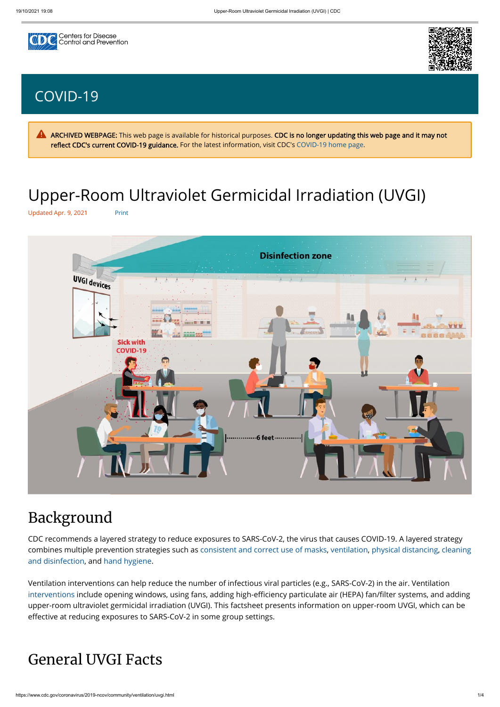



A ARCHIVED WEBPAGE: This web page is available for historical purposes. CDC is no longer updating this web page and it may not reflect CDC's current COVID-19 guidance. For the latest information, visit CDC's [COVID-19 home page](https://www.cdc.gov/coronavirus/2019-ncov/index.html).

# Upper-Room Ultraviolet Germicidal Irradiation (UVGI)

Updated Apr. 9, 2021 Print



Background

CDC recommends a layered strategy to reduce exposures to SARS-CoV-2, the virus that causes COVID-19. A layered strategy [combines multiple prevention strategies such as c](https://www.cdc.gov/coronavirus/2019-ncov/community/disinfecting-building-facility.html)[onsistent and correct use of masks](https://www.cdc.gov/coronavirus/2019-ncov/prevent-getting-sick/diy-cloth-face-coverings.html)[, v](https://www.cdc.gov/coronavirus/2019-ncov/community/disinfecting-building-facility.html)[entilation](https://www.cdc.gov/coronavirus/2019-ncov/community/ventilation.html)[, p](https://www.cdc.gov/coronavirus/2019-ncov/community/disinfecting-building-facility.html)[hysical distancin](https://www.cdc.gov/coronavirus/2019-ncov/prevent-getting-sick/prevention.html#stay6ft)[g, cleaning](https://www.cdc.gov/coronavirus/2019-ncov/community/disinfecting-building-facility.html) and disinfection, and [hand hygiene](https://www.cdc.gov/handwashing/when-how-handwashing.html).

Ventilation interventions can help reduce the number of infectious viral particles (e.g., SARS-CoV-2) in the air. Ventilation [interventions](https://www.cdc.gov/coronavirus/2019-ncov/community/ventilation.html) include opening windows, using fans, adding high-efficiency particulate air (HEPA) fan/filter systems, and adding upper-room ultraviolet germicidal irradiation (UVGI). This factsheet presents information on upper-room UVGI, which can be effective at reducing exposures to SARS-CoV-2 in some group settings.

### General UVGI Facts

## [COVID-19](https://www.cdc.gov/coronavirus/2019-nCoV/index.html)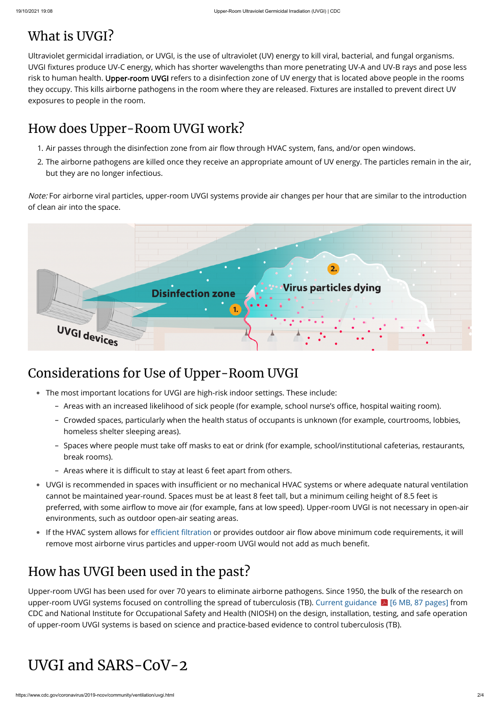## What is UVGI?

Ultraviolet germicidal irradiation, or UVGI, is the use of ultraviolet (UV) energy to kill viral, bacterial, and fungal organisms. UVGI fixtures produce UV-C energy, which has shorter wavelengths than more penetrating UV-A and UV-B rays and pose less risk to human health. Upper-room UVGI refers to a disinfection zone of UV energy that is located above people in the rooms they occupy. This kills airborne pathogens in the room where they are released. Fixtures are installed to prevent direct UV exposures to people in the room.

### How does Upper-Room UVGI work?

- 1. Air passes through the disinfection zone from air flow through HVAC system, fans, and/or open windows.
- 2. The airborne pathogens are killed once they receive an appropriate amount of UV energy. The particles remain in the air, but they are no longer infectious.

Note: For airborne viral particles, upper-room UVGI systems provide air changes per hour that are similar to the introduction of clean air into the space.



#### Considerations for Use of Upper-Room UVGI

- The most important locations for UVGI are high-risk indoor settings. These include:
	- Areas with an increased likelihood of sick people (for example, school nurse's office, hospital waiting room).
	- Crowded spaces, particularly when the health status of occupants is unknown (for example, courtrooms, lobbies, homeless shelter sleeping areas).
	- Spaces where people must take off masks to eat or drink (for example, school/institutional cafeterias, restaurants, break rooms).
	- Areas where it is difficult to stay at least 6 feet apart from others. -
- UVGI is recommended in spaces with insufficient or no mechanical HVAC systems or where adequate natural ventilation cannot be maintained year-round. Spaces must be at least 8 feet tall, but a minimum ceiling height of 8.5 feet is preferred, with some airflow to move air (for example, fans at low speed). Upper-room UVGI is not necessary in open-air environments, such as outdoor open-air seating areas.
- If the HVAC system allows for [efficient filtration](https://www.cdc.gov/coronavirus/2019-ncov/community/ventilation.html) or provides outdoor air flow above minimum code requirements, it will •
- remove most airborne virus particles and upper-room UVGI would not add as much benefit.

#### How has UVGI been used in the past?

Upper-room UVGI has been used for over 70 years to eliminate airborne pathogens. Since 1950, the bulk of the research on upper-room UVGI systems focused on controlling the spread of tuberculosis (TB). Current guidance [A] [6 MB, 87 pages] from CDC and National Institute for Occupational Safety and Health (NIOSH) on the design, installation, testing, and safe operation of upper-room UVGI systems is based on science and practice-based evidence to control tuberculosis (TB).

#### UVGI and SARS-CoV-2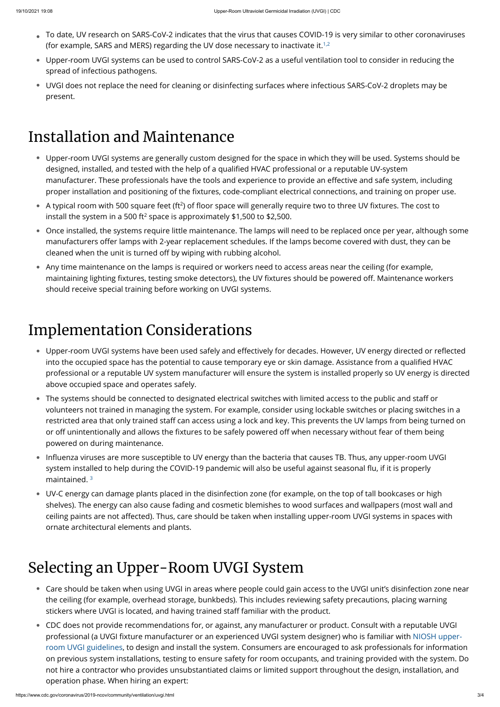- To date, UV research on SARS-CoV-2 indicates that the virus that causes COVID-19 is very similar to other coronaviruses (for example, SARS and MERS) regarding the UV dose necessary to inactivate it. $^{1,2}$  $^{1,2}$  $^{1,2}$  $^{1,2}$ •
- Upper-room UVGI systems can be used to control SARS-CoV-2 as a useful ventilation tool to consider in reducing the spread of infectious pathogens.
- UVGI does not replace the need for cleaning or disinfecting surfaces where infectious SARS-CoV-2 droplets may be present.

## Installation and Maintenance

- Upper-room UVGI systems are generally custom designed for the space in which they will be used. Systems should be designed, installed, and tested with the help of a qualified HVAC professional or a reputable UV-system manufacturer. These professionals have the tools and experience to provide an effective and safe system, including proper installation and positioning of the fixtures, code-compliant electrical connections, and training on proper use.
- $\bullet$  A typical room with 500 square feet (ft<sup>2</sup>) of floor space will generally require two to three UV fixtures. The cost to install the system in a 500 ft $^2$  space is approximately \$1,500 to \$2,500.
- Once installed, the systems require little maintenance. The lamps will need to be replaced once per year, although some manufacturers offer lamps with 2-year replacement schedules. If the lamps become covered with dust, they can be cleaned when the unit is turned off by wiping with rubbing alcohol.
- Any time maintenance on the lamps is required or workers need to access areas near the ceiling (for example, maintaining lighting fixtures, testing smoke detectors), the UV fixtures should be powered off. Maintenance workers should receive special training before working on UVGI systems.

# Implementation Considerations

- Upper-room UVGI systems have been used safely and effectively for decades. However, UV energy directed or reflected into the occupied space has the potential to cause temporary eye or skin damage. Assistance from a qualified HVAC professional or a reputable UV system manufacturer will ensure the system is installed properly so UV energy is directed above occupied space and operates safely.
- The systems should be connected to designated electrical switches with limited access to the public and staff or volunteers not trained in managing the system. For example, consider using lockable switches or placing switches in a restricted area that only trained staff can access using a lock and key. This prevents the UV lamps from being turned on or off unintentionally and allows the fixtures to be safely powered off when necessary without fear of them being powered on during maintenance.
- $\bullet$  Influenza viruses are more susceptible to UV energy than the bacteria that causes TB. Thus, any upper-room UVGI system installed to help during the COVID-19 pandemic will also be useful against seasonal flu, if it is properly maintained. [3](#page-3-2)
- UV-C energy can damage plants placed in the disinfection zone (for example, on the top of tall bookcases or high shelves). The energy can also cause fading and cosmetic blemishes to wood surfaces and wallpapers (most wall and ceiling paints are not affected). Thus, care should be taken when installing upper-room UVGI systems in spaces with ornate architectural elements and plants.

# Selecting an Upper-Room UVGI System

- Care should be taken when using UVGI in areas where people could gain access to the UVGI unit's disinfection zone near the ceiling (for example, overhead storage, bunkbeds). This includes reviewing safety precautions, placing warning stickers where UVGI is located, and having trained staff familiar with the product.
- CDC does not provide recommendations for, or against, any manufacturer or product. Consult with a reputable UVGI •[professional \(a UVGI fixture manufacturer or an experienced UVGI system designer\) who is familiar with NIOSH upper](https://www.cdc.gov/coronavirus/2019-ncov/community/ventilation.html)room UVGI guidelines, to design and install the system. Consumers are encouraged to ask professionals for information on previous system installations, testing to ensure safety for room occupants, and training provided with the system. Do not hire a contractor who provides unsubstantiated claims or limited support throughout the design, installation, and operation phase. When hiring an expert: